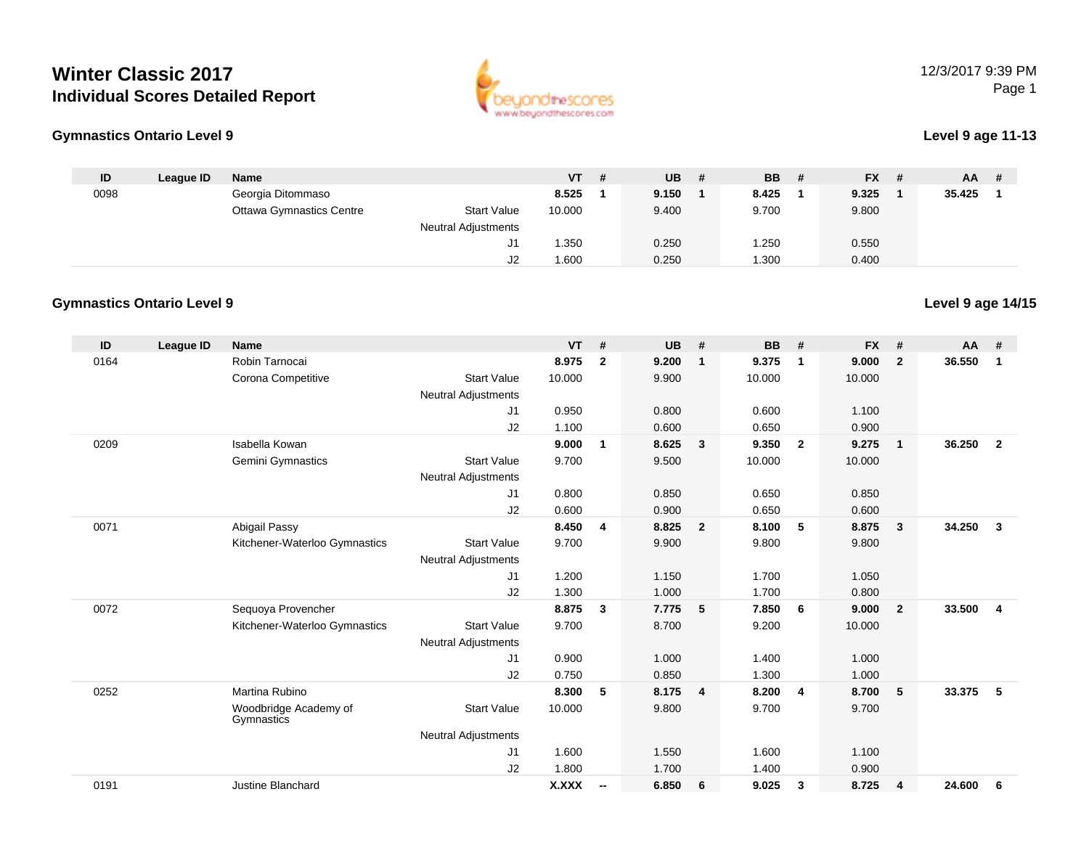# **Winter Classic 2017Individual Scores Detailed Report**





#### **Level 9 age 11-13**

**Level 9 age 14/15**

| ID   | League ID | Name                            |                            | $VT$ # | $UB$ # | <b>BB</b> | - # | <b>FX</b> | # | AA.    | -# |
|------|-----------|---------------------------------|----------------------------|--------|--------|-----------|-----|-----------|---|--------|----|
| 0098 |           | Georgia Ditommaso               |                            | 8.525  | 9.150  | 8.425     |     | 9.325     |   | 35.425 |    |
|      |           | <b>Ottawa Gymnastics Centre</b> | <b>Start Value</b>         | 10.000 | 9.400  | 9.700     |     | 9.800     |   |        |    |
|      |           |                                 | <b>Neutral Adjustments</b> |        |        |           |     |           |   |        |    |
|      |           |                                 |                            | .350   | 0.250  | 1.250     |     | 0.550     |   |        |    |
|      |           |                                 | J2                         | .600   | 0.250  | .300      |     | 0.400     |   |        |    |

### **Gymnastics Ontario Level 9**

| ID   | <b>League ID</b> | <b>Name</b>                         |                            | <b>VT</b>    | #                        | <b>UB</b> | #                       | <b>BB</b> | #                       | <b>FX</b> | #              | AA     | #              |
|------|------------------|-------------------------------------|----------------------------|--------------|--------------------------|-----------|-------------------------|-----------|-------------------------|-----------|----------------|--------|----------------|
| 0164 |                  | Robin Tarnocai                      |                            | 8.975        | $\overline{2}$           | 9.200     | $\overline{1}$          | 9.375     | $\overline{1}$          | 9.000     | $\overline{2}$ | 36.550 | $\mathbf 1$    |
|      |                  | Corona Competitive                  | <b>Start Value</b>         | 10.000       |                          | 9.900     |                         | 10.000    |                         | 10.000    |                |        |                |
|      |                  |                                     | <b>Neutral Adjustments</b> |              |                          |           |                         |           |                         |           |                |        |                |
|      |                  |                                     | J <sub>1</sub>             | 0.950        |                          | 0.800     |                         | 0.600     |                         | 1.100     |                |        |                |
|      |                  |                                     | J2                         | 1.100        |                          | 0.600     |                         | 0.650     |                         | 0.900     |                |        |                |
| 0209 |                  | Isabella Kowan                      |                            | 9.000        | $\mathbf{1}$             | 8.625     | $\overline{\mathbf{3}}$ | 9.350     | $\overline{\mathbf{2}}$ | 9.275     | $\mathbf{1}$   | 36.250 | $\overline{2}$ |
|      |                  | Gemini Gymnastics                   | <b>Start Value</b>         | 9.700        |                          | 9.500     |                         | 10.000    |                         | 10.000    |                |        |                |
|      |                  |                                     | <b>Neutral Adjustments</b> |              |                          |           |                         |           |                         |           |                |        |                |
|      |                  |                                     | J <sub>1</sub>             | 0.800        |                          | 0.850     |                         | 0.650     |                         | 0.850     |                |        |                |
|      |                  |                                     | J2                         | 0.600        |                          | 0.900     |                         | 0.650     |                         | 0.600     |                |        |                |
| 0071 |                  | Abigail Passy                       |                            | 8.450        | $\overline{\mathbf{4}}$  | 8.825     | $\overline{\mathbf{2}}$ | 8.100     | -5                      | 8.875     | 3              | 34.250 | $\mathbf{3}$   |
|      |                  | Kitchener-Waterloo Gymnastics       | <b>Start Value</b>         | 9.700        |                          | 9.900     |                         | 9.800     |                         | 9.800     |                |        |                |
|      |                  |                                     | <b>Neutral Adjustments</b> |              |                          |           |                         |           |                         |           |                |        |                |
|      |                  |                                     | J1                         | 1.200        |                          | 1.150     |                         | 1.700     |                         | 1.050     |                |        |                |
|      |                  |                                     | J2                         | 1.300        |                          | 1.000     |                         | 1.700     |                         | 0.800     |                |        |                |
| 0072 |                  | Sequoya Provencher                  |                            | 8.875        | $\mathbf{3}$             | 7.775     | 5                       | 7.850     | 6                       | 9.000     | $\overline{2}$ | 33.500 | $\overline{4}$ |
|      |                  | Kitchener-Waterloo Gymnastics       | <b>Start Value</b>         | 9.700        |                          | 8.700     |                         | 9.200     |                         | 10.000    |                |        |                |
|      |                  |                                     | <b>Neutral Adjustments</b> |              |                          |           |                         |           |                         |           |                |        |                |
|      |                  |                                     | J <sub>1</sub>             | 0.900        |                          | 1.000     |                         | 1.400     |                         | 1.000     |                |        |                |
|      |                  |                                     | J2                         | 0.750        |                          | 0.850     |                         | 1.300     |                         | 1.000     |                |        |                |
| 0252 |                  | Martina Rubino                      |                            | 8.300        | 5                        | 8.175     | $\overline{4}$          | 8.200     | $\overline{4}$          | 8.700     | 5              | 33.375 | 5              |
|      |                  | Woodbridge Academy of<br>Gymnastics | <b>Start Value</b>         | 10.000       |                          | 9.800     |                         | 9.700     |                         | 9.700     |                |        |                |
|      |                  |                                     | <b>Neutral Adjustments</b> |              |                          |           |                         |           |                         |           |                |        |                |
|      |                  |                                     | J <sub>1</sub>             | 1.600        |                          | 1.550     |                         | 1.600     |                         | 1.100     |                |        |                |
|      |                  |                                     | J2                         | 1.800        |                          | 1.700     |                         | 1.400     |                         | 0.900     |                |        |                |
| 0191 |                  | <b>Justine Blanchard</b>            |                            | <b>X.XXX</b> | $\overline{\phantom{a}}$ | 6.850     | 6                       | 9.025     | 3                       | 8.725     | 4              | 24.600 | 6              |